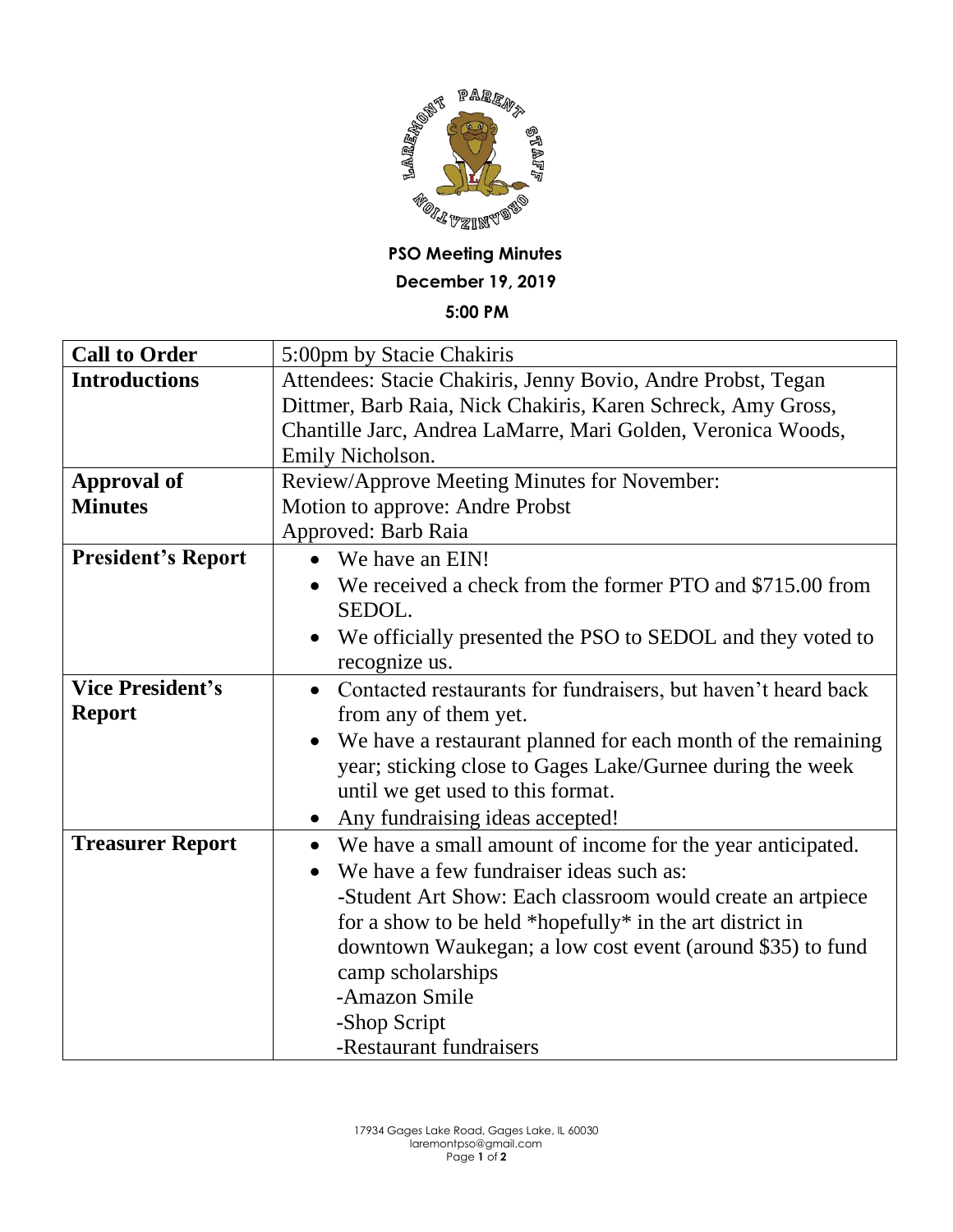

## **PSO Meeting Minutes December 19, 2019 5:00 PM**

| <b>Call to Order</b>      | 5:00pm by Stacie Chakiris                                                   |
|---------------------------|-----------------------------------------------------------------------------|
| <b>Introductions</b>      | Attendees: Stacie Chakiris, Jenny Bovio, Andre Probst, Tegan                |
|                           | Dittmer, Barb Raia, Nick Chakiris, Karen Schreck, Amy Gross,                |
|                           | Chantille Jarc, Andrea LaMarre, Mari Golden, Veronica Woods,                |
|                           | Emily Nicholson.                                                            |
| <b>Approval of</b>        | Review/Approve Meeting Minutes for November:                                |
| <b>Minutes</b>            | Motion to approve: Andre Probst                                             |
|                           | Approved: Barb Raia                                                         |
| <b>President's Report</b> | We have an EIN!                                                             |
|                           | We received a check from the former PTO and \$715.00 from                   |
|                           | SEDOL.                                                                      |
|                           | We officially presented the PSO to SEDOL and they voted to<br>recognize us. |
| <b>Vice President's</b>   | Contacted restaurants for fundraisers, but haven't heard back<br>$\bullet$  |
| <b>Report</b>             | from any of them yet.                                                       |
|                           | We have a restaurant planned for each month of the remaining<br>$\bullet$   |
|                           | year; sticking close to Gages Lake/Gurnee during the week                   |
|                           | until we get used to this format.                                           |
|                           | • Any fundraising ideas accepted!                                           |
| <b>Treasurer Report</b>   | We have a small amount of income for the year anticipated.<br>$\bullet$     |
|                           | We have a few fundraiser ideas such as:<br>$\bullet$                        |
|                           | -Student Art Show: Each classroom would create an artpiece                  |
|                           | for a show to be held *hopefully* in the art district in                    |
|                           | downtown Waukegan; a low cost event (around \$35) to fund                   |
|                           | camp scholarships                                                           |
|                           | -Amazon Smile                                                               |
|                           | -Shop Script                                                                |
|                           | -Restaurant fundraisers                                                     |